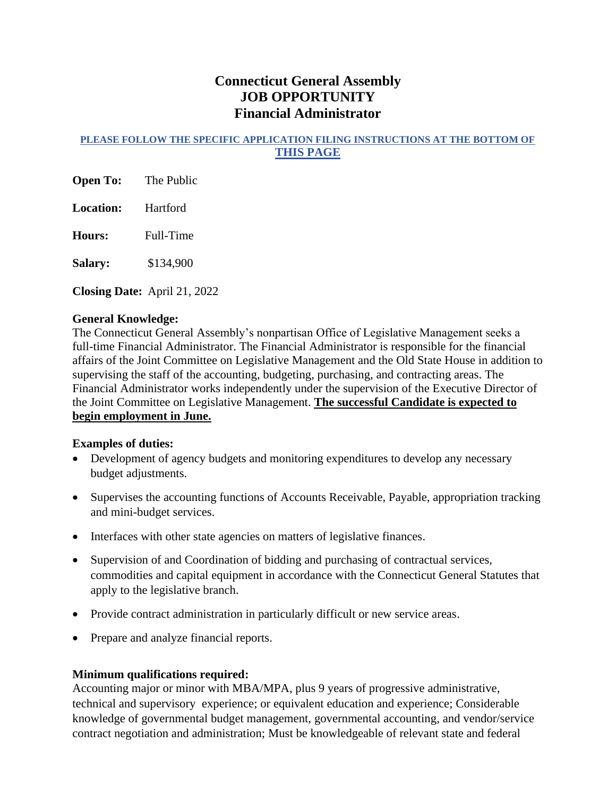# **Connecticut General Assembly JOB OPPORTUNITY Financial Administrator**

## **PLEASE FOLLOW THE SPECIFIC APPLICATION FILING INSTRUCTIONS AT THE BOTTOM OF THIS PAGE**

**Open To:** The Public

**Location:** Hartford

**Hours:** Full-Time

**Salary:** \$134,900

**Closing Date:** April 21, 2022

## **General Knowledge:**

The Connecticut General Assembly's nonpartisan Office of Legislative Management seeks a full-time Financial Administrator. The Financial Administrator is responsible for the financial affairs of the Joint Committee on Legislative Management and the Old State House in addition to supervising the staff of the accounting, budgeting, purchasing, and contracting areas. The Financial Administrator works independently under the supervision of the Executive Director of the Joint Committee on Legislative Management. **The successful Candidate is expected to begin employment in June.**

#### **Examples of duties:**

- Development of agency budgets and monitoring expenditures to develop any necessary budget adjustments.
- Supervises the accounting functions of Accounts Receivable, Payable, appropriation tracking and mini-budget services.
- Interfaces with other state agencies on matters of legislative finances.
- Supervision of and Coordination of bidding and purchasing of contractual services, commodities and capital equipment in accordance with the Connecticut General Statutes that apply to the legislative branch.
- Provide contract administration in particularly difficult or new service areas.
- Prepare and analyze financial reports.

#### **Minimum qualifications required:**

Accounting major or minor with MBA/MPA, plus 9 years of progressive administrative, technical and supervisory experience; or equivalent education and experience; Considerable knowledge of governmental budget management, governmental accounting, and vendor/service contract negotiation and administration; Must be knowledgeable of relevant state and federal